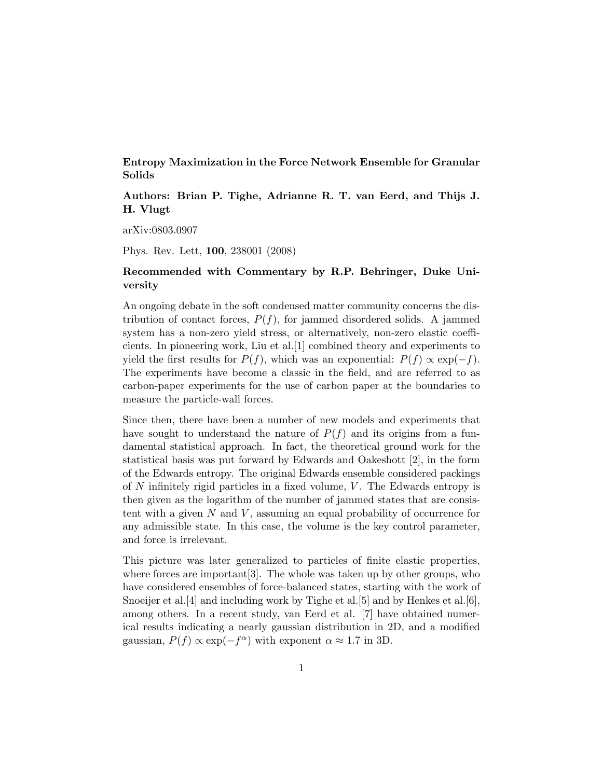Entropy Maximization in the Force Network Ensemble for Granular Solids

Authors: Brian P. Tighe, Adrianne R. T. van Eerd, and Thijs J. H. Vlugt

arXiv:0803.0907

Phys. Rev. Lett, 100, 238001 (2008)

## Recommended with Commentary by R.P. Behringer, Duke University

An ongoing debate in the soft condensed matter community concerns the distribution of contact forces,  $P(f)$ , for jammed disordered solids. A jammed system has a non-zero yield stress, or alternatively, non-zero elastic coefficients. In pioneering work, Liu et al.[1] combined theory and experiments to yield the first results for  $P(f)$ , which was an exponential:  $P(f) \propto \exp(-f)$ . The experiments have become a classic in the field, and are referred to as carbon-paper experiments for the use of carbon paper at the boundaries to measure the particle-wall forces.

Since then, there have been a number of new models and experiments that have sought to understand the nature of  $P(f)$  and its origins from a fundamental statistical approach. In fact, the theoretical ground work for the statistical basis was put forward by Edwards and Oakeshott [2], in the form of the Edwards entropy. The original Edwards ensemble considered packings of  $N$  infinitely rigid particles in a fixed volume,  $V$ . The Edwards entropy is then given as the logarithm of the number of jammed states that are consistent with a given  $N$  and  $V$ , assuming an equal probability of occurrence for any admissible state. In this case, the volume is the key control parameter, and force is irrelevant.

This picture was later generalized to particles of finite elastic properties, where forces are important[3]. The whole was taken up by other groups, who have considered ensembles of force-balanced states, starting with the work of Snoeijer et al.[4] and including work by Tighe et al.[5] and by Henkes et al.[6], among others. In a recent study, van Eerd et al. [7] have obtained numerical results indicating a nearly gaussian distribution in 2D, and a modified gaussian,  $P(f) \propto \exp(-f^{\alpha})$  with exponent  $\alpha \approx 1.7$  in 3D.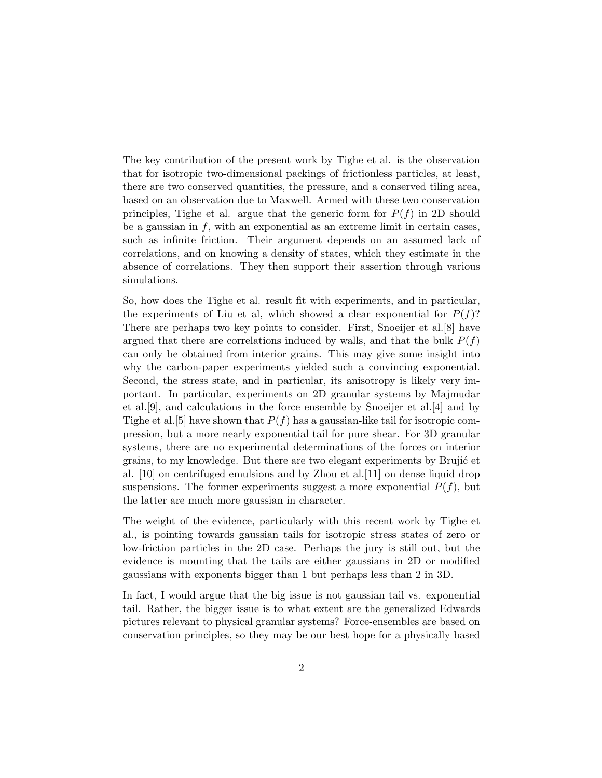The key contribution of the present work by Tighe et al. is the observation that for isotropic two-dimensional packings of frictionless particles, at least, there are two conserved quantities, the pressure, and a conserved tiling area, based on an observation due to Maxwell. Armed with these two conservation principles, Tighe et al. argue that the generic form for  $P(f)$  in 2D should be a gaussian in  $f$ , with an exponential as an extreme limit in certain cases, such as infinite friction. Their argument depends on an assumed lack of correlations, and on knowing a density of states, which they estimate in the absence of correlations. They then support their assertion through various simulations.

So, how does the Tighe et al. result fit with experiments, and in particular, the experiments of Liu et al, which showed a clear exponential for  $P(f)$ ? There are perhaps two key points to consider. First, Snoeijer et al.[8] have argued that there are correlations induced by walls, and that the bulk  $P(f)$ can only be obtained from interior grains. This may give some insight into why the carbon-paper experiments yielded such a convincing exponential. Second, the stress state, and in particular, its anisotropy is likely very important. In particular, experiments on 2D granular systems by Majmudar et al.[9], and calculations in the force ensemble by Snoeijer et al.[4] and by Tighe et al. [5] have shown that  $P(f)$  has a gaussian-like tail for isotropic compression, but a more nearly exponential tail for pure shear. For 3D granular systems, there are no experimental determinations of the forces on interior grains, to my knowledge. But there are two elegant experiments by Brujić et al. [10] on centrifuged emulsions and by Zhou et al.[11] on dense liquid drop suspensions. The former experiments suggest a more exponential  $P(f)$ , but the latter are much more gaussian in character.

The weight of the evidence, particularly with this recent work by Tighe et al., is pointing towards gaussian tails for isotropic stress states of zero or low-friction particles in the 2D case. Perhaps the jury is still out, but the evidence is mounting that the tails are either gaussians in 2D or modified gaussians with exponents bigger than 1 but perhaps less than 2 in 3D.

In fact, I would argue that the big issue is not gaussian tail vs. exponential tail. Rather, the bigger issue is to what extent are the generalized Edwards pictures relevant to physical granular systems? Force-ensembles are based on conservation principles, so they may be our best hope for a physically based